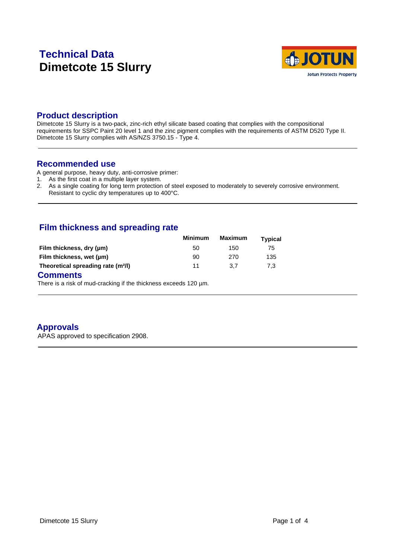# **Technical Data Dimetcote 15 Slurry**



#### **Product description**

Dimetcote 15 Slurry is a two-pack, zinc-rich ethyl silicate based coating that complies with the compositional requirements for SSPC Paint 20 level 1 and the zinc pigment complies with the requirements of ASTM D520 Type II. Dimetcote 15 Slurry complies with AS/NZS 3750.15 - Type 4.

#### **Recommended use**

A general purpose, heavy duty, anti-corrosive primer:

- 1. As the first coat in a multiple layer system.
- 2. As a single coating for long term protection of steel exposed to moderately to severely corrosive environment. Resistant to cyclic dry temperatures up to 400°C.

# **Film thickness and spreading rate**

|                                                                                                                                                                                                                                        | <b>Minimum</b> | Maximum | <b>Typical</b> |  |
|----------------------------------------------------------------------------------------------------------------------------------------------------------------------------------------------------------------------------------------|----------------|---------|----------------|--|
| Film thickness, dry (µm)                                                                                                                                                                                                               | 50             | 150     | 75             |  |
| Film thickness, wet (µm)                                                                                                                                                                                                               | 90             | 270     | 135            |  |
| Theoretical spreading rate (m <sup>2</sup> /l)                                                                                                                                                                                         | 11             | 3.7     | 7.3            |  |
| $\bigcap_{n=1}^{\infty}$ is a contract of the set of the set of the set of the set of the set of the set of the set of the set of the set of the set of the set of the set of the set of the set of the set of the set of the set of t |                |         |                |  |

#### **Comments**

There is a risk of mud-cracking if the thickness exceeds 120 µm.

# **Approvals**

APAS approved to specification 2908.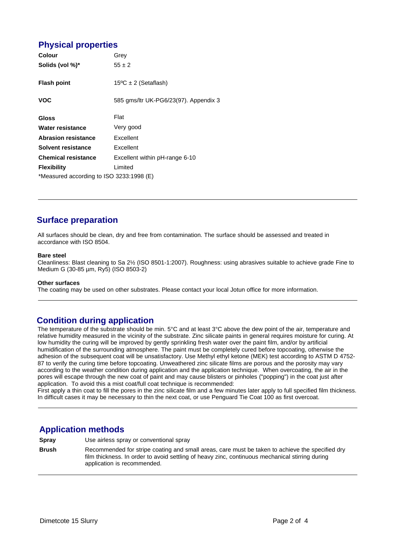# **Physical properties**

| <b>Colour</b>                            | Grey                                  |  |
|------------------------------------------|---------------------------------------|--|
| Solids (vol %)*                          | $55 \pm 2$                            |  |
| <b>Flash point</b>                       | $15^{\circ}$ C ± 2 (Setaflash)        |  |
| <b>VOC</b>                               | 585 gms/ltr UK-PG6/23(97). Appendix 3 |  |
|                                          |                                       |  |
| <b>Gloss</b>                             | Flat                                  |  |
| Water resistance                         | Very good                             |  |
| <b>Abrasion resistance</b>               | Excellent                             |  |
| Solvent resistance                       | Excellent                             |  |
| <b>Chemical resistance</b>               | Excellent within pH-range 6-10        |  |
| <b>Flexibility</b>                       | Limited                               |  |
| *Measured according to ISO 3233:1998 (E) |                                       |  |

# **Surface preparation**

All surfaces should be clean, dry and free from contamination. The surface should be assessed and treated in accordance with ISO 8504.

#### **Bare steel**

Cleanliness: Blast cleaning to Sa 2½ (ISO 8501-1:2007). Roughness: using abrasives suitable to achieve grade Fine to Medium G (30-85 µm, Ry5) (ISO 8503-2)

#### **Other surfaces**

The coating may be used on other substrates. Please contact your local Jotun office for more information.

# **Condition during application**

The temperature of the substrate should be min. 5°C and at least 3°C above the dew point of the air, temperature and relative humidity measured in the vicinity of the substrate. Zinc silicate paints in general requires moisture for curing. At low humidity the curing will be improved by gently sprinkling fresh water over the paint film, and/or by artificial humidification of the surrounding atmosphere. The paint must be completely cured before topcoating, otherwise the adhesion of the subsequent coat will be unsatisfactory. Use Methyl ethyl ketone (MEK) test according to ASTM D 4752- 87 to verify the curing time before topcoating. Unweathered zinc silicate films are porous and the porosity may vary according to the weather condition during application and the application technique. When overcoating, the air in the pores will escape through the new coat of paint and may cause blisters or pinholes ("popping") in the coat just after application. To avoid this a mist coat/full coat technique is recommended:

First apply a thin coat to fill the pores in the zinc silicate film and a few minutes later apply to full specified film thickness. In difficult cases it may be necessary to thin the next coat, or use Penguard Tie Coat 100 as first overcoat.

# **Application methods**

**Spray** Use airless spray or conventional spray

**Brush** Recommended for stripe coating and small areas, care must be taken to achieve the specified dry film thickness. In order to avoid settling of heavy zinc, continuous mechanical stirring during application is recommended.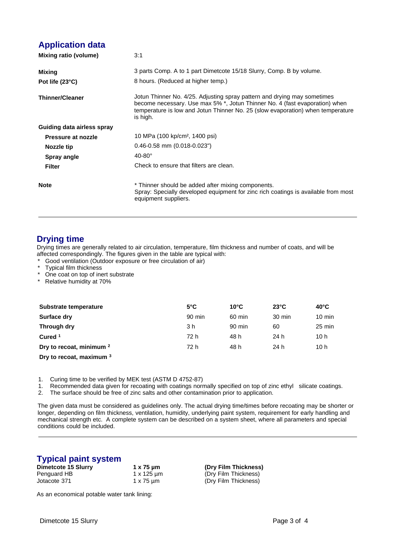### **Application data**

| Mixing ratio (volume)      | 3:1                                                                                                                                                                                                                                                    |
|----------------------------|--------------------------------------------------------------------------------------------------------------------------------------------------------------------------------------------------------------------------------------------------------|
| Mixing                     | 3 parts Comp. A to 1 part Dimetcote 15/18 Slurry, Comp. B by volume.                                                                                                                                                                                   |
| Pot life (23°C)            | 8 hours. (Reduced at higher temp.)                                                                                                                                                                                                                     |
| <b>Thinner/Cleaner</b>     | Jotun Thinner No. 4/25. Adjusting spray pattern and drying may sometimes<br>become necessary. Use max 5% *, Jotun Thinner No. 4 (fast evaporation) when<br>temperature is low and Jotun Thinner No. 25 (slow evaporation) when temperature<br>is high. |
| Guiding data airless spray |                                                                                                                                                                                                                                                        |
| Pressure at nozzle         | 10 MPa (100 kp/cm <sup>2</sup> , 1400 psi)                                                                                                                                                                                                             |
| Nozzle tip                 | $0.46 - 0.58$ mm $(0.018 - 0.023)$                                                                                                                                                                                                                     |
| Spray angle                | $40-80^\circ$                                                                                                                                                                                                                                          |
| <b>Filter</b>              | Check to ensure that filters are clean.                                                                                                                                                                                                                |
| <b>Note</b>                | * Thinner should be added after mixing components.<br>Spray: Specially developed equipment for zinc rich coatings is available from most<br>equipment suppliers.                                                                                       |

### **Drying time**

Drying times are generally related to air circulation, temperature, film thickness and number of coats, and will be affected correspondingly. The figures given in the table are typical with:

- Good ventilation (Outdoor exposure or free circulation of air)
- Typical film thickness
- \* One coat on top of inert substrate

\* Relative humidity at 70%

| Substrate temperature               | $5^{\circ}$ C | $10^{\circ}$ C | $23^{\circ}$ C | $40^{\circ}$ C   |
|-------------------------------------|---------------|----------------|----------------|------------------|
| Surface dry                         | 90 min        | 60 min         | 30 min         | $10 \text{ min}$ |
| Through dry                         | 3 h           | 90 min         | 60             | $25 \text{ min}$ |
| Cured <sup>1</sup>                  | 72 h          | 48 h           | 24 h           | 10 h             |
| Dry to recoat, minimum <sup>2</sup> | 72 h          | 48 h           | 24 h           | 10 h             |
| Dry to recoat, maximum 3            |               |                |                |                  |

1. Curing time to be verified by MEK test (ASTM D 4752-87) 1. Recommended data given for recoating with coatings normally specified on top of zinc ethyl silicate coatings.

2. The surface should be free of zinc salts and other contamination prior to application.

The given data must be considered as guidelines only. The actual drying time/times before recoating may be shorter or longer, depending on film thickness, ventilation, humidity, underlying paint system, requirement for early handling and mechanical strength etc. A complete system can be described on a system sheet, where all parameters and special conditions could be included.

# **Typical paint system**

| Dimetcote 15 Slurry | $1 \times 75 \mu m$ |
|---------------------|---------------------|
| Penguard HB         | 1 x 125 um          |
| Jotacote 371        | $1 \times 75 \mu m$ |

**Dimetcote 15 Slurry 1 x 75 µm (Dry Film Thickness)** (Dry Film Thickness) (Dry Film Thickness)

As an economical potable water tank lining: